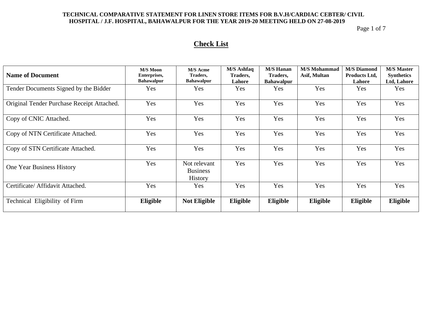Page 1 of 7

# **Check List**

| <b>Name of Document</b>                    | <b>M/S Moon</b><br>Enterprises,<br><b>Bahawalpur</b> | <b>M/S</b> Acme<br>Traders,<br><b>Bahawalpur</b>  | M/S Ashfaq<br>Traders,<br>Lahore | <b>M/S Hanan</b><br>Traders,<br><b>Bahawalpur</b> | <b>M/S</b> Mohammad<br>Asif, Multan | <b>M/S Diamond</b><br><b>Products Ltd,</b><br>Lahore | <b>M/S Master</b><br><b>Synthetics</b><br>Ltd, Lahore |
|--------------------------------------------|------------------------------------------------------|---------------------------------------------------|----------------------------------|---------------------------------------------------|-------------------------------------|------------------------------------------------------|-------------------------------------------------------|
| Tender Documents Signed by the Bidder      | Yes                                                  | Yes                                               | Yes                              | <b>Yes</b>                                        | Yes                                 | Yes                                                  | Yes                                                   |
| Original Tender Purchase Receipt Attached. | Yes                                                  | Yes                                               | Yes                              | Yes                                               | Yes                                 | Yes                                                  | Yes                                                   |
| Copy of CNIC Attached.                     | Yes                                                  | Yes                                               | Yes                              | Yes                                               | Yes                                 | Yes                                                  | Yes                                                   |
| Copy of NTN Certificate Attached.          | Yes                                                  | Yes                                               | Yes                              | Yes                                               | Yes                                 | Yes                                                  | Yes                                                   |
| Copy of STN Certificate Attached.          | Yes                                                  | Yes                                               | Yes                              | Yes                                               | Yes                                 | Yes                                                  | Yes                                                   |
| One Year Business History                  | Yes                                                  | Not relevant<br><b>Business</b><br><b>History</b> | Yes                              | Yes                                               | Yes                                 | Yes                                                  | Yes                                                   |
| Certificate/ Affidavit Attached.           | Yes                                                  | <b>Yes</b>                                        | Yes                              | Yes                                               | Yes                                 | Yes                                                  | Yes                                                   |
| Technical Eligibility of Firm              | Eligible                                             | <b>Not Eligible</b>                               | Eligible                         | Eligible                                          | Eligible                            | Eligible                                             | Eligible                                              |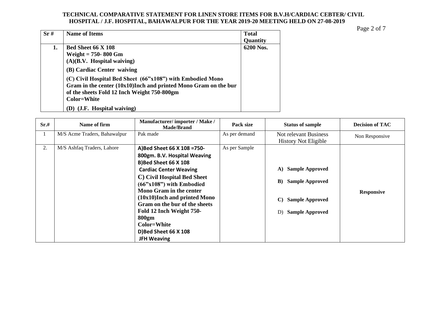Page 2 of 7

| Sr# | <b>Name of Items</b>                                               | <b>Total</b> |
|-----|--------------------------------------------------------------------|--------------|
|     |                                                                    | Quantity     |
| 1.  | <b>Bed Sheet 66 X 108</b>                                          | 6200 Nos.    |
|     | Weight $= 750-800$ Gm                                              |              |
|     | (A)(B.V. Hospital waiting)                                         |              |
|     | (B) Cardiac Center waiving                                         |              |
|     | (C) Civil Hospital Bed Sheet (66"x108") with Embodied Mono         |              |
|     | Gram in the center $(10x10)$ Inch and printed Mono Gram on the bur |              |
|     | of the sheets Fold 12 Inch Weight 750-800gm                        |              |
|     | <b>Color=White</b>                                                 |              |
|     | (J.F. Hospital waiving)                                            |              |

| Sr.# | Name of firm                 | Manufacturer/importer / Make /<br><b>Made/Brand</b>                                                                                                                                                                                                                                                                                                                             | Pack size     | <b>Status of sample</b>                                                                                                                      | <b>Decision of TAC</b> |
|------|------------------------------|---------------------------------------------------------------------------------------------------------------------------------------------------------------------------------------------------------------------------------------------------------------------------------------------------------------------------------------------------------------------------------|---------------|----------------------------------------------------------------------------------------------------------------------------------------------|------------------------|
|      | M/S Acme Traders, Bahawalpur | Pak made                                                                                                                                                                                                                                                                                                                                                                        | As per demand | Not relevant Business<br><b>History Not Eligible</b>                                                                                         | Non Responsive         |
| 2.   | M/S Ashfaq Traders, Lahore   | A)Bed Sheet 66 X 108 = 750-<br>800gm. B.V. Hospital Weaving<br>B)Bed Sheet 66 X 108<br><b>Cardiac Center Weaving</b><br>C) Civil Hospital Bed Sheet<br>$(66"x108")$ with Embodied<br>Mono Gram in the center<br>(10x10)Inch and printed Mono<br>Gram on the bur of the sheets<br>Fold 12 Inch Weight 750-<br>800gm<br>Color=White<br>D)Bed Sheet 66 X 108<br><b>JFH Weaving</b> | As per Sample | <b>Sample Approved</b><br>A)<br><b>Sample Approved</b><br>$\bf{B}$<br><b>Sample Approved</b><br>$\mathbf{C}$<br><b>Sample Approved</b><br>D) | <b>Responsive</b>      |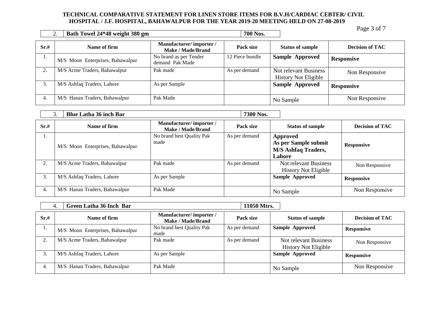|      | Bath Towel 24*48 weight 380 gm   |                                                    | 700 Nos.        |                                                      | $1$ agu J Ul 1         |
|------|----------------------------------|----------------------------------------------------|-----------------|------------------------------------------------------|------------------------|
| Sr.# | Name of firm                     | Manufacturer/importer/<br><b>Make / Made/Brand</b> | Pack size       | <b>Status of sample</b>                              | <b>Decision of TAC</b> |
|      | M/S Moon Enterprises, Bahawalpur | No brand as per Tender<br>demand Pak Made          | 12 Piece bundle | <b>Sample Approved</b>                               | <b>Responsive</b>      |
|      | M/S Acme Traders, Bahawalpur     | Pak made                                           | As per demand   | Not relevant Business<br><b>History Not Eligible</b> | Non Responsive         |
| 3.   | M/S Ashfaq Traders, Lahore       | As per Sample                                      |                 | <b>Sample Approved</b>                               | <b>Responsive</b>      |
| 4.   | M/S Hanan Traders, Bahawalpur    | Pak Made                                           |                 | No Sample                                            | Non Responsive         |

|      | <b>Blue Latha 36 inch Bar</b>    |                                             | 7300 Nos.     |                                                                          |                        |
|------|----------------------------------|---------------------------------------------|---------------|--------------------------------------------------------------------------|------------------------|
| Sr.# | Name of firm                     | Manufacturer/importer/<br>Make / Made/Brand | Pack size     | <b>Status of sample</b>                                                  | <b>Decision of TAC</b> |
| 1.   | M/S Moon Enterprises, Bahawalpur | No brand best Quality Pak<br>made           | As per demand | Approved<br>As per Sample submit<br><b>M/S Ashfaq Traders,</b><br>Lahore | <b>Responsive</b>      |
| 2.   | M/S Acme Traders, Bahawalpur     | Pak made                                    | As per demand | Not relevant Business<br><b>History Not Eligible</b>                     | Non Responsive         |
| 3.   | M/S Ashfaq Traders, Lahore       | As per Sample                               |               | <b>Sample Approved</b>                                                   | <b>Responsive</b>      |
| 4.   | M/S Hanan Traders, Bahawalpur    | Pak Made                                    |               | No Sample                                                                | Non Responsive         |

|      | <b>Green Latha 36 Inch Bar</b><br>4. |                                             | 11050 Mtrs.   |                                                      |                        |
|------|--------------------------------------|---------------------------------------------|---------------|------------------------------------------------------|------------------------|
| Sr.# | Name of firm                         | Manufacturer/importer/<br>Make / Made/Brand | Pack size     | <b>Status of sample</b>                              | <b>Decision of TAC</b> |
| .,   | M/S Moon Enterprises, Bahawalpur     | No brand best Quality Pak<br>made           | As per demand | <b>Sample Approved</b>                               | <b>Responsive</b>      |
|      | M/S Acme Traders, Bahawalpur         | Pak made                                    | As per demand | Not relevant Business<br><b>History Not Eligible</b> | Non Responsive         |
|      | M/S Ashfaq Traders, Lahore           | As per Sample                               |               | <b>Sample Approved</b>                               | <b>Responsive</b>      |
| 4.   | M/S Hanan Traders, Bahawalpur        | Pak Made                                    |               | No Sample                                            | Non Responsive         |

Page 3 of 7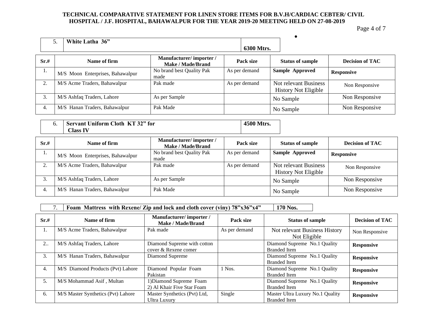Page 4 of 7

|      | White Latha 36"                  |                                                    | 6300 Mtrs.    |                                                      |                        |
|------|----------------------------------|----------------------------------------------------|---------------|------------------------------------------------------|------------------------|
| Sr.# | Name of firm                     | Manufacturer/importer/<br><b>Make / Made/Brand</b> | Pack size     | <b>Status of sample</b>                              | <b>Decision of TAC</b> |
| 1.   | M/S Moon Enterprises, Bahawalpur | No brand best Quality Pak<br>made                  | As per demand | Sample Approved                                      | <b>Responsive</b>      |
|      | M/S Acme Traders, Bahawalpur     | Pak made                                           | As per demand | Not relevant Business<br><b>History Not Eligible</b> | Non Responsive         |
| 3.   | M/S Ashfaq Traders, Lahore       | As per Sample                                      |               | No Sample                                            | Non Responsive         |
| 4.   | M/S Hanan Traders, Bahawalpur    | Pak Made                                           |               | No Sample                                            | Non Responsive         |

| <b>Servant Uniform Cloth KT 32" for</b> | 4500 Mtrs. |
|-----------------------------------------|------------|
| <b>Class IV</b>                         |            |

| Sr.# | Name of firm                     | Manufacturer/importer/<br><b>Make / Made/Brand</b> | Pack size     | <b>Status of sample</b>                              | <b>Decision of TAC</b> |
|------|----------------------------------|----------------------------------------------------|---------------|------------------------------------------------------|------------------------|
|      | M/S Moon Enterprises, Bahawalpur | No brand best Quality Pak<br>made                  | As per demand | <b>Sample Approved</b>                               | <b>Responsive</b>      |
|      | M/S Acme Traders, Bahawalpur     | Pak made                                           | As per demand | Not relevant Business<br><b>History Not Eligible</b> | Non Responsive         |
| 3.   | M/S Ashfaq Traders, Lahore       | As per Sample                                      |               | No Sample                                            | Non Responsive         |
| 4.   | M/S Hanan Traders, Bahawalpur    | Pak Made                                           |               | No Sample                                            | Non Responsive         |

7. **Foam Mattress with Rexene/ Zip and lock and cloth cover (viny) 78"x36"x4" 170 Nos.**

| Sr.#              | Name of firm                       | Manufacturer/importer/<br>Make / Made/Brand           | Pack size     | <b>Status of sample</b>                                 | <b>Decision of TAC</b> |
|-------------------|------------------------------------|-------------------------------------------------------|---------------|---------------------------------------------------------|------------------------|
| 1.                | M/S Acme Traders, Bahawalpur       | Pak made                                              | As per demand | Not relevant Business History<br>Not Eligible           | Non Responsive         |
| $2_{\cdot \cdot}$ | M/S Ashfaq Traders, Lahore         | Diamond Supreme with cotton<br>cover & Rexene comer   |               | Diamond Supreme No.1 Quality<br><b>Branded Item</b>     | <b>Responsive</b>      |
| 3.                | M/S Hanan Traders, Bahawalpur      | Diamond Supreme                                       |               | Diamond Supreme No.1 Quality<br><b>Branded Item</b>     | <b>Responsive</b>      |
| 4.                | M/S Diamond Products (Pvt) Lahore  | Diamond Popular Foam<br>Pakistan                      | 1 Nos.        | Diamond Supreme No.1 Quality<br><b>Branded</b> Item     | <b>Responsive</b>      |
| 5.                | M/S Mohammad Asif, Multan          | 1) Diamond Supreme Foam<br>2) Al Khair Five Star Foam |               | Diamond Supreme No.1 Quality<br><b>Branded Item</b>     | <b>Responsive</b>      |
| 6.                | M/S Master Synthetics (Pvt) Lahore | Master Synthetics (Pvt) Ltd,<br><b>Ultra Luxury</b>   | Single        | Master Ultra Luxury No.1 Quality<br><b>Branded Item</b> | <b>Responsive</b>      |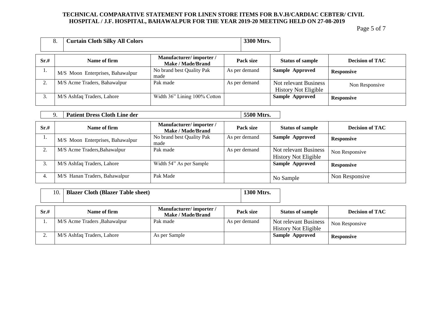Page 5 of 7

|      | <b>Curtain Cloth Silky All Colors</b><br>8. |                                                    | 3300 Mtrs.    |                                                      |                        |
|------|---------------------------------------------|----------------------------------------------------|---------------|------------------------------------------------------|------------------------|
| Sr.# | Name of firm                                | Manufacturer/importer/<br><b>Make / Made/Brand</b> | Pack size     | <b>Status of sample</b>                              | <b>Decision of TAC</b> |
| 1.   | M/S Moon Enterprises, Bahawalpur            | No brand best Quality Pak<br>made                  | As per demand | <b>Sample Approved</b>                               | <b>Responsive</b>      |
| 2.   | M/S Acme Traders, Bahawalpur                | Pak made                                           | As per demand | Not relevant Business<br><b>History Not Eligible</b> | Non Responsive         |
| 3.   | M/S Ashfaq Traders, Lahore                  | Width 36" Lining 100% Cotton                       |               | Sample Approved                                      | <b>Responsive</b>      |

|      | <b>Patient Dress Cloth Line der</b><br>9. |                                                    | 5500 Mtrs.    |                                                      |                        |
|------|-------------------------------------------|----------------------------------------------------|---------------|------------------------------------------------------|------------------------|
| Sr.# | Name of firm                              | Manufacturer/importer/<br><b>Make / Made/Brand</b> | Pack size     | <b>Status of sample</b>                              | <b>Decision of TAC</b> |
| 1.   | M/S Moon Enterprises, Bahawalpur          | No brand best Quality Pak<br>made                  | As per demand | <b>Sample Approved</b>                               | <b>Responsive</b>      |
| 2.   | M/S Acme Traders, Bahawalpur              | Pak made                                           | As per demand | Not relevant Business<br><b>History Not Eligible</b> | Non Responsive         |
| 3.   | M/S Ashfaq Traders, Lahore                | Width 54" As per Sample                            |               | <b>Sample Approved</b>                               | <b>Responsive</b>      |
| 4.   | M/S Hanan Traders, Bahawalpur             | Pak Made                                           |               | No Sample                                            | Non Responsive         |

| 10.   Blazer Cloth (Blazer Table sheet) | $\frac{1300 \text{ M} \cdot \text{M} \cdot \text{M}}{200 \text{ M} \cdot \text{M} \cdot \text{M} \cdot \text{M} \cdot \text{M} \cdot \text{M} \cdot \text{M} \cdot \text{M} \cdot \text{M} \cdot \text{M} \cdot \text{M} \cdot \text{M} \cdot \text{M} \cdot \text{M} \cdot \text{M} \cdot \text{M} \cdot \text{M} \cdot \text{M} \cdot \text{M} \cdot \text{M} \cdot \text{M} \cdot \text{M} \cdot \text{M} \cdot \text{M} \cdot \text{M} \cdot \text{M} \cdot \text{M} \cdot \$ |
|-----------------------------------------|-----------------------------------------------------------------------------------------------------------------------------------------------------------------------------------------------------------------------------------------------------------------------------------------------------------------------------------------------------------------------------------------------------------------------------------------------------------------------------------|
|                                         |                                                                                                                                                                                                                                                                                                                                                                                                                                                                                   |

| Sr.# | Name of firm                  | Manufacturer/importer/<br><b>Make / Made/Brand</b> | Pack size     | <b>Status of sample</b>     | <b>Decision of TAC</b> |
|------|-------------------------------|----------------------------------------------------|---------------|-----------------------------|------------------------|
|      | M/S Acme Traders , Bahawalpur | Pak made                                           | As per demand | Not relevant Business       | Non Responsive         |
|      |                               |                                                    |               | <b>History Not Eligible</b> |                        |
|      | M/S Ashfaq Traders, Lahore    | As per Sample                                      |               | <b>Sample Approved</b>      | <b>Responsive</b>      |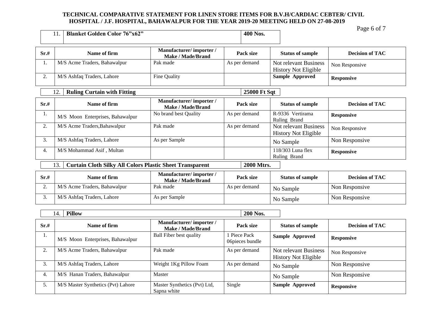|                                                                                      | <b>Blanket Golden Color 76"x62"</b><br>11. |                                                    | 400 Nos.                        |                                                             | Page 6 of 7            |
|--------------------------------------------------------------------------------------|--------------------------------------------|----------------------------------------------------|---------------------------------|-------------------------------------------------------------|------------------------|
| Sr.#                                                                                 | Name of firm                               | Manufacturer/importer/<br><b>Make / Made/Brand</b> | Pack size                       | <b>Status of sample</b>                                     | <b>Decision of TAC</b> |
| 1.                                                                                   | M/S Acme Traders, Bahawalpur               | Pak made                                           | As per demand                   | Not relevant Business<br><b>History Not Eligible</b>        | Non Responsive         |
| 2.                                                                                   | M/S Ashfaq Traders, Lahore                 | Fine Quality                                       |                                 | <b>Sample Approved</b>                                      | <b>Responsive</b>      |
|                                                                                      | <b>Ruling Curtain with Fitting</b><br>12.  |                                                    | <b>25000 Ft Sqt</b>             |                                                             |                        |
| Sr.#                                                                                 | Name of firm                               | Manufacturer/importer/<br><b>Make / Made/Brand</b> | Pack size                       | <b>Status of sample</b>                                     | <b>Decision of TAC</b> |
| 1.                                                                                   | M/S Moon Enterprises, Bahawalpur           | No brand best Quality                              | As per demand                   | R-9336 Vertirama<br>Ruling Brand                            | <b>Responsive</b>      |
| 2.                                                                                   | M/S Acme Traders, Bahawalpur               | Pak made                                           | As per demand                   | <b>Not relevant Business</b><br><b>History Not Eligible</b> | Non Responsive         |
| 3.                                                                                   | M/S Ashfaq Traders, Lahore                 | As per Sample                                      |                                 | No Sample                                                   | Non Responsive         |
| 4.                                                                                   | M/S Mohammad Asif, Multan                  |                                                    |                                 | 118/303 Luna flex<br>Ruling Brand                           | <b>Responsive</b>      |
| <b>Curtain Cloth Silky All Colors Plastic Sheet Transparent</b><br>2000 Mtrs.<br>13. |                                            |                                                    |                                 |                                                             |                        |
| Sr.#                                                                                 | Name of firm                               | Manufacturer/importer/<br><b>Make / Made/Brand</b> | Pack size                       | <b>Status of sample</b>                                     | <b>Decision of TAC</b> |
| 2.                                                                                   | M/S Acme Traders, Bahawalpur               | Pak made                                           | As per demand                   | No Sample                                                   | Non Responsive         |
| 3.                                                                                   | M/S Ashfaq Traders, Lahore                 | As per Sample                                      |                                 | No Sample                                                   | Non Responsive         |
| <b>Pillow</b><br>200 Nos.<br>14.                                                     |                                            |                                                    |                                 |                                                             |                        |
| Sr.#                                                                                 | Name of firm                               | Manufacturer/importer/<br><b>Make / Made/Brand</b> | Pack size                       | <b>Status of sample</b>                                     | <b>Decision of TAC</b> |
| 1.                                                                                   | M/S Moon Enterprises, Bahawalpur           | <b>Ball Fiber best quality</b>                     | 1 Piece Pack<br>O6pieces bundle | <b>Sample Approved</b>                                      | <b>Responsive</b>      |
| 2.                                                                                   | M/S Acme Traders, Bahawalpur               | Pak made                                           | As per demand                   | Not relevant Business<br><b>History Not Eligible</b>        | Non Responsive         |
| 3.                                                                                   | M/S Ashfaq Traders, Lahore                 | Weight 1Kg Pillow Foam                             | As per demand                   | No Sample                                                   | Non Responsive         |
| 4.                                                                                   | M/S Hanan Traders, Bahawalpur              | Master                                             |                                 | No Sample                                                   | Non Responsive         |

**Single Sample Approved Responsive** 

5. M/S Master Synthetics (Pvt) Lahore Master Synthetics (Pvt) Ltd,

Sapna white